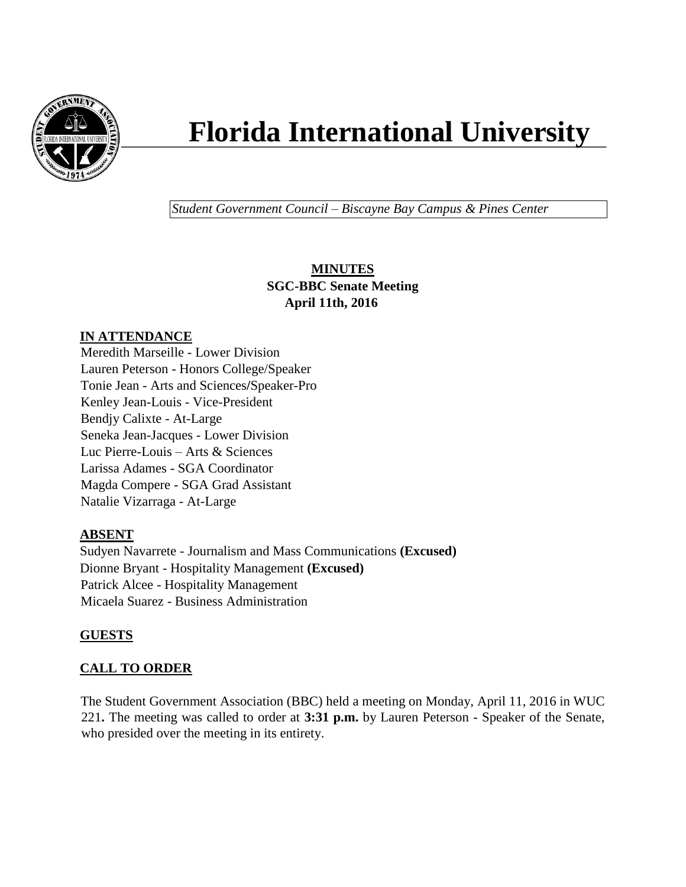

# **Florida International University**

*Student Government Council – Biscayne Bay Campus & Pines Center*

# **MINUTES SGC-BBC Senate Meeting April 11th, 2016**

# **IN ATTENDANCE**

Meredith Marseille - Lower Division Lauren Peterson - Honors College/Speaker Tonie Jean - Arts and Sciences**/**Speaker-Pro Kenley Jean-Louis - Vice-President Bendjy Calixte - At-Large Seneka Jean-Jacques - Lower Division Luc Pierre-Louis – Arts & Sciences Larissa Adames - SGA Coordinator Magda Compere - SGA Grad Assistant Natalie Vizarraga - At-Large

# **ABSENT**

Sudyen Navarrete - Journalism and Mass Communications **(Excused)** Dionne Bryant - Hospitality Management **(Excused)** Patrick Alcee - Hospitality Management Micaela Suarez - Business Administration

# **GUESTS**

# **CALL TO ORDER**

The Student Government Association (BBC) held a meeting on Monday, April 11, 2016 in WUC 221**.** The meeting was called to order at **3:31 p.m.** by Lauren Peterson - Speaker of the Senate, who presided over the meeting in its entirety.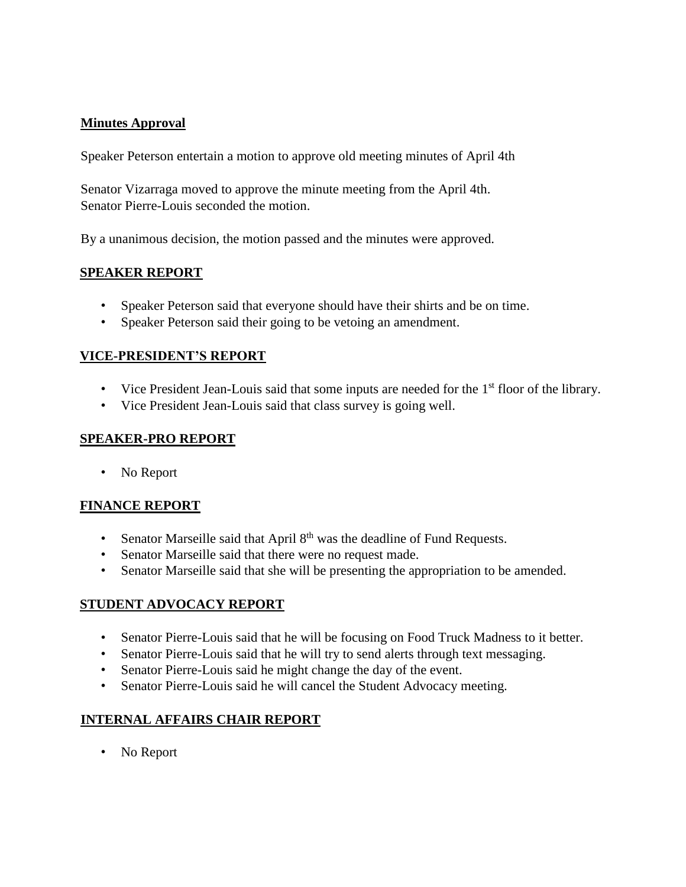## **Minutes Approval**

Speaker Peterson entertain a motion to approve old meeting minutes of April 4th

Senator Vizarraga moved to approve the minute meeting from the April 4th. Senator Pierre-Louis seconded the motion.

By a unanimous decision, the motion passed and the minutes were approved.

## **SPEAKER REPORT**

- Speaker Peterson said that everyone should have their shirts and be on time.
- Speaker Peterson said their going to be vetoing an amendment.

## **VICE-PRESIDENT'S REPORT**

- Vice President Jean-Louis said that some inputs are needed for the  $1<sup>st</sup>$  floor of the library.
- Vice President Jean-Louis said that class survey is going well.

## **SPEAKER-PRO REPORT**

• No Report

## **FINANCE REPORT**

- Senator Marseille said that April  $8<sup>th</sup>$  was the deadline of Fund Requests.
- Senator Marseille said that there were no request made.
- Senator Marseille said that she will be presenting the appropriation to be amended.

#### **STUDENT ADVOCACY REPORT**

- Senator Pierre-Louis said that he will be focusing on Food Truck Madness to it better.
- Senator Pierre-Louis said that he will try to send alerts through text messaging.
- Senator Pierre-Louis said he might change the day of the event.
- Senator Pierre-Louis said he will cancel the Student Advocacy meeting.

## **INTERNAL AFFAIRS CHAIR REPORT**

• No Report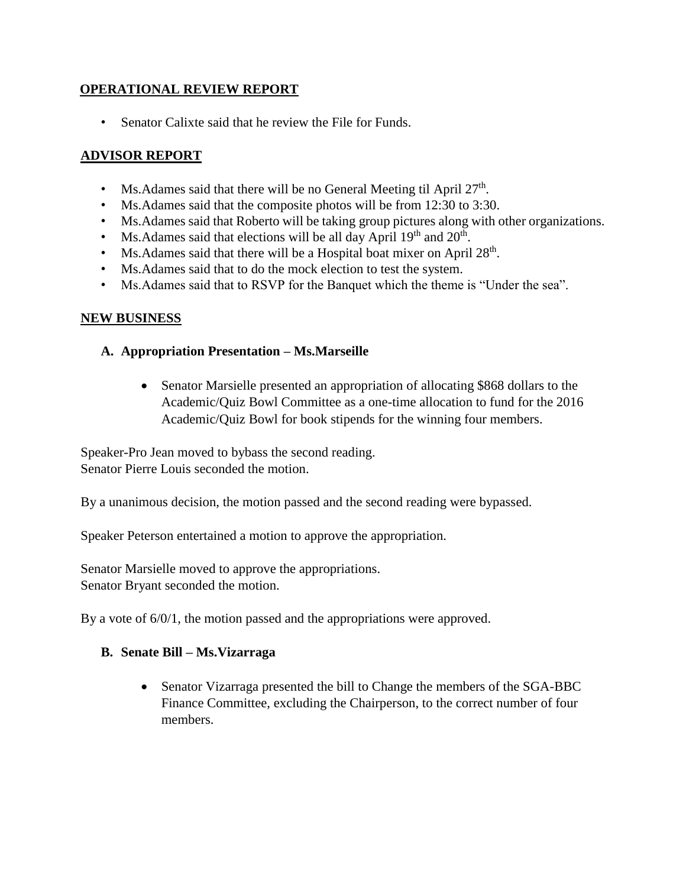## **OPERATIONAL REVIEW REPORT**

Senator Calixte said that he review the File for Funds.

# **ADVISOR REPORT**

- Ms. Adames said that there will be no General Meeting til April  $27<sup>th</sup>$ .
- Ms.Adames said that the composite photos will be from 12:30 to 3:30.
- Ms.Adames said that Roberto will be taking group pictures along with other organizations.
- Ms. Adames said that elections will be all day April  $19<sup>th</sup>$  and  $20<sup>th</sup>$ .
- Ms. Adames said that there will be a Hospital boat mixer on April 28<sup>th</sup>.
- Ms.Adames said that to do the mock election to test the system.
- Ms.Adames said that to RSVP for the Banquet which the theme is "Under the sea".

# **NEW BUSINESS**

# **A. Appropriation Presentation – Ms.Marseille**

• Senator Marsielle presented an appropriation of allocating \$868 dollars to the Academic/Quiz Bowl Committee as a one-time allocation to fund for the 2016 Academic/Quiz Bowl for book stipends for the winning four members.

Speaker-Pro Jean moved to bybass the second reading. Senator Pierre Louis seconded the motion.

By a unanimous decision, the motion passed and the second reading were bypassed.

Speaker Peterson entertained a motion to approve the appropriation.

Senator Marsielle moved to approve the appropriations. Senator Bryant seconded the motion.

By a vote of  $6/0/1$ , the motion passed and the appropriations were approved.

# **B. Senate Bill – Ms.Vizarraga**

• Senator Vizarraga presented the bill to Change the members of the SGA-BBC Finance Committee, excluding the Chairperson, to the correct number of four members.